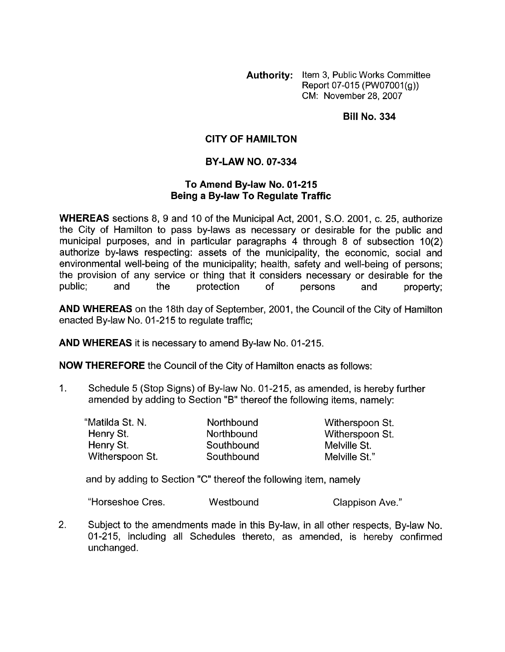**Authority:** Item 3, Public Works Committee Report 07-015 *(PW07001(g))* CM: November 28,2007

**Bill No. 334** 

## **CITY OF HAMILTON**

## **BY-LAW NO. 07-334**

## **To Amend Bylaw No. 01-215 Being a Bylaw To Regulate Traffic**

**WHEREAS** sections 8, 9 and 10 of the Municipal Act, 2001, S.O. 2001, c. 25, authorize the City of Hamilton to pass by-laws as necessary or desirable for the public and municipal purposes, and in particular paragraphs 4 through 8 of subsection 10(2) authorize by-laws respecting: assets of the municipality, the economic, social and environmental well-being of the municipality; health, safety and well-being of persons; the provision of any service or thing that it considers necessary or desirable for the public; and the protection of persons and property;

**AND WHEREAS** on the 18th day of September, 2001 , the Council of the City of Hamilton enacted By-law No. 01-215 to regulate traffic;

**AND WHEREAS** it is necessary to amend By-law No. 01-215.

**NOW THEREFORE** the Council of the City of Hamilton enacts as follows:

1. Schedule 5 (Stop Signs) of By-law No. 01-215, as amended, is hereby further amended by adding to Section "B" thereof the following items, namely:

| "Matilda St. N. | Northbound | Witherspoon St. |
|-----------------|------------|-----------------|
| Henry St.       | Northbound | Witherspoon St. |
| Henry St.       | Southbound | Melville St.    |
| Witherspoon St. | Southbound | Melville St."   |

and by adding to Section "C" thereof the following item, namely

"Horseshoe Cres. The Westbound Clappison Ave."

2. Subject to the amendments made in this By-law, in all other respects, By-law No. 01-215, including all Schedules thereto, as amended, is hereby confirmed unchanged.